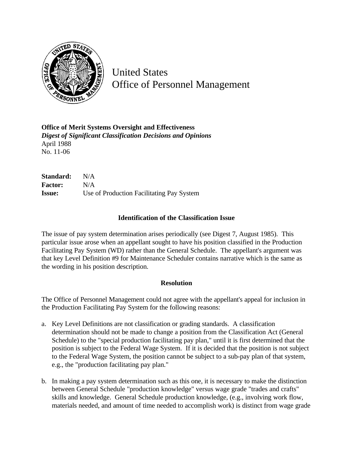

United States Office of Personnel Management

**Office of Merit Systems Oversight and Effectiveness** *Digest of Significant Classification Decisions and Opinions* April 1988 No. 11-06

**Standard:** N/A **Factor:** N/A **Issue:** Use of Production Facilitating Pay System

## **Identification of the Classification Issue**

The issue of pay system determination arises periodically (see Digest 7, August 1985). This particular issue arose when an appellant sought to have his position classified in the Production Facilitating Pay System (WD) rather than the General Schedule. The appellant's argument was that key Level Definition #9 for Maintenance Scheduler contains narrative which is the same as the wording in his position description.

## **Resolution**

The Office of Personnel Management could not agree with the appellant's appeal for inclusion in the Production Facilitating Pay System for the following reasons:

- a. Key Level Definitions are not classification or grading standards. A classification determination should not be made to change a position from the Classification Act (General Schedule) to the "special production facilitating pay plan," until it is first determined that the position is subject to the Federal Wage System. If it is decided that the position is not subject to the Federal Wage System, the position cannot be subject to a sub-pay plan of that system, e.g., the "production facilitating pay plan."
- b. In making a pay system determination such as this one, it is necessary to make the distinction between General Schedule "production knowledge" versus wage grade "trades and crafts" skills and knowledge. General Schedule production knowledge, (e.g., involving work flow, materials needed, and amount of time needed to accomplish work) is distinct from wage grade